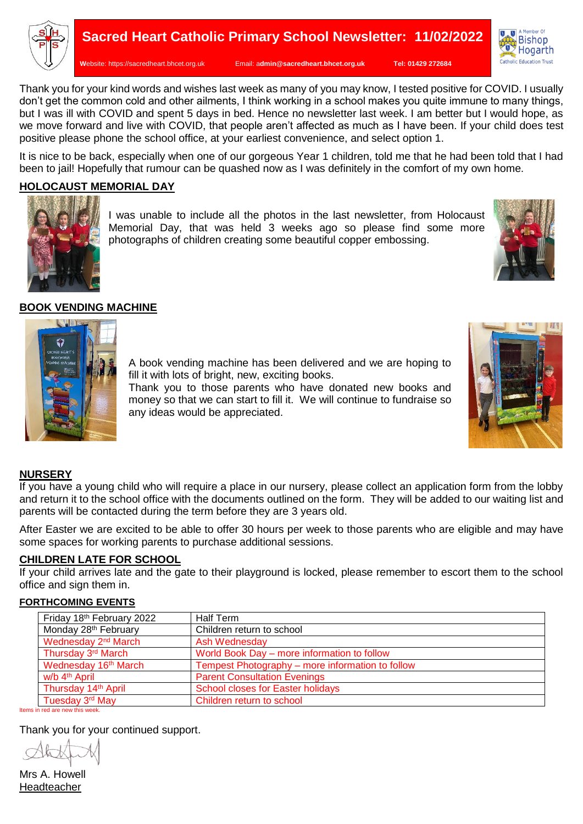

**W**ebsite: [https://sacredheart.bhcet.org.uk](https://sacredheart.bhcet.org.uk/) Email: a**[dmin@sacredheart.bhcet.org.uk](mailto:admin@sacredheart.bhcet.org.uk) Tel: 01429 272684**



Thank you for your kind words and wishes last week as many of you may know, I tested positive for COVID. I usually don't get the common cold and other ailments, I think working in a school makes you quite immune to many things, but I was ill with COVID and spent 5 days in bed. Hence no newsletter last week. I am better but I would hope, as we move forward and live with COVID, that people aren't affected as much as I have been. If your child does test positive please phone the school office, at your earliest convenience, and select option 1.

It is nice to be back, especially when one of our gorgeous Year 1 children, told me that he had been told that I had been to jail! Hopefully that rumour can be quashed now as I was definitely in the comfort of my own home.

## **HOLOCAUST MEMORIAL DAY**



I was unable to include all the photos in the last newsletter, from Holocaust Memorial Day, that was held 3 weeks ago so please find some more photographs of children creating some beautiful copper embossing.



# **BOOK VENDING MACHINE**



A book vending machine has been delivered and we are hoping to fill it with lots of bright, new, exciting books.

Thank you to those parents who have donated new books and money so that we can start to fill it. We will continue to fundraise so any ideas would be appreciated.



### **NURSERY**

If you have a young child who will require a place in our nursery, please collect an application form from the lobby and return it to the school office with the documents outlined on the form. They will be added to our waiting list and parents will be contacted during the term before they are 3 years old.

After Easter we are excited to be able to offer 30 hours per week to those parents who are eligible and may have some spaces for working parents to purchase additional sessions.

### **CHILDREN LATE FOR SCHOOL**

If your child arrives late and the gate to their playground is locked, please remember to escort them to the school office and sign them in.

### **FORTHCOMING EVENTS**

| Friday 18th February 2022        | <b>Half Term</b>                                 |
|----------------------------------|--------------------------------------------------|
| Monday 28 <sup>th</sup> February | Children return to school                        |
| Wednesday 2 <sup>nd</sup> March  | Ash Wednesday                                    |
| Thursday 3 <sup>rd</sup> March   | World Book Day - more information to follow      |
| Wednesday 16 <sup>th</sup> March | Tempest Photography – more information to follow |
| w/b 4 <sup>th</sup> April        | <b>Parent Consultation Evenings</b>              |
| Thursday 14th April              | <b>School closes for Easter holidays</b>         |
| Tuesday 3rd May                  | Children return to school                        |

Items in red are new this week.

Thank you for your continued support.

Mrs A. Howell Headteacher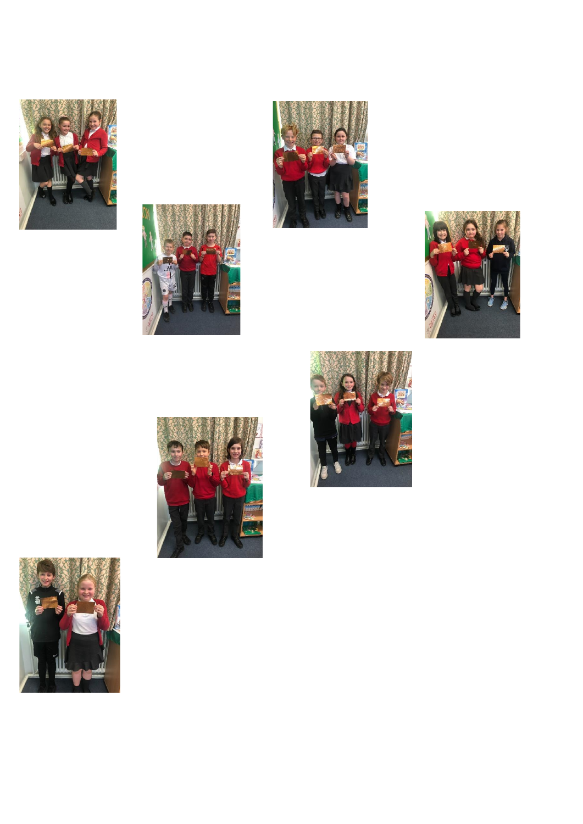